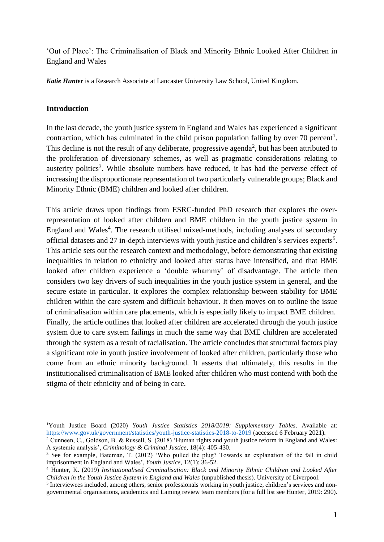'Out of Place': The Criminalisation of Black and Minority Ethnic Looked After Children in England and Wales

*Katie Hunter* is a Research Associate at Lancaster University Law School, United Kingdom.

#### **Introduction**

 $\overline{a}$ 

In the last decade, the youth justice system in England and Wales has experienced a significant contraction, which has culminated in the child prison population falling by over 70 percent<sup>1</sup>. This decline is not the result of any deliberate, progressive agenda<sup>2</sup>, but has been attributed to the proliferation of diversionary schemes, as well as pragmatic considerations relating to austerity politics<sup>3</sup>. While absolute numbers have reduced, it has had the perverse effect of increasing the disproportionate representation of two particularly vulnerable groups; Black and Minority Ethnic (BME) children and looked after children.

This article draws upon findings from ESRC-funded PhD research that explores the overrepresentation of looked after children and BME children in the youth justice system in England and Wales<sup>4</sup>. The research utilised mixed-methods, including analyses of secondary official datasets and 27 in-depth interviews with youth justice and children's services experts<sup>5</sup>. This article sets out the research context and methodology, before demonstrating that existing inequalities in relation to ethnicity and looked after status have intensified, and that BME looked after children experience a 'double whammy' of disadvantage. The article then considers two key drivers of such inequalities in the youth justice system in general, and the secure estate in particular. It explores the complex relationship between stability for BME children within the care system and difficult behaviour. It then moves on to outline the issue of criminalisation within care placements, which is especially likely to impact BME children. Finally, the article outlines that looked after children are accelerated through the youth justice system due to care system failings in much the same way that BME children are accelerated through the system as a result of racialisation. The article concludes that structural factors play a significant role in youth justice involvement of looked after children, particularly those who come from an ethnic minority background. It asserts that ultimately, this results in the institutionalised criminalisation of BME looked after children who must contend with both the stigma of their ethnicity and of being in care.

<sup>1</sup>Youth Justice Board (2020) *Youth Justice Statistics 2018/2019: Supplementary Tables*. Available at: <https://www.gov.uk/government/statistics/youth-justice-statistics-2018-to-2019> (accessed 6 February 2021).

<sup>&</sup>lt;sup>2</sup> Cunneen, C., Goldson, B. & Russell, S. (2018) 'Human rights and youth justice reform in England and Wales: A systemic analysis', *Criminology & Criminal Justice*, 18(4): 405-430.

<sup>&</sup>lt;sup>3</sup> See for example, Bateman, T. (2012) 'Who pulled the plug? Towards an explanation of the fall in child imprisonment in England and Wales', *Youth Justice*, 12(1): 36-52.

<sup>4</sup> Hunter, K. (2019) *Institutionalised Criminalisation: Black and Minority Ethnic Children and Looked After Children in the Youth Justice System in England and Wales* (unpublished thesis). University of Liverpool.

<sup>&</sup>lt;sup>5</sup> Interviewees included, among others, senior professionals working in youth justice, children's services and nongovernmental organisations, academics and Laming review team members (for a full list see Hunter, 2019: 290).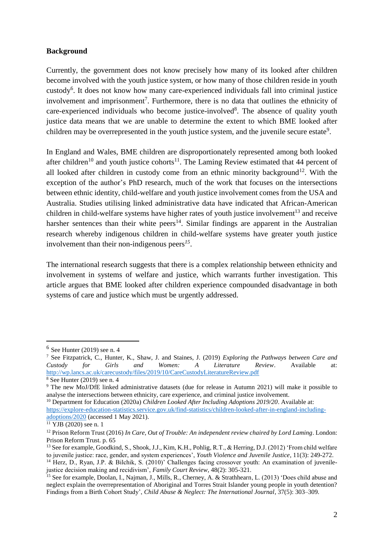### **Background**

Currently, the government does not know precisely how many of its looked after children become involved with the youth justice system, or how many of those children reside in youth custody<sup>6</sup>. It does not know how many care-experienced individuals fall into criminal justice involvement and imprisonment<sup>7</sup>. Furthermore, there is no data that outlines the ethnicity of care-experienced individuals who become justice-involved<sup>8</sup>. The absence of quality youth justice data means that we are unable to determine the extent to which BME looked after children may be overrepresented in the youth justice system, and the juvenile secure estate<sup>9</sup>.

In England and Wales, BME children are disproportionately represented among both looked after children<sup>10</sup> and youth justice cohorts<sup>11</sup>. The Laming Review estimated that 44 percent of all looked after children in custody come from an ethnic minority background<sup>12</sup>. With the exception of the author's PhD research, much of the work that focuses on the intersections between ethnic identity, child-welfare and youth justice involvement comes from the USA and Australia. Studies utilising linked administrative data have indicated that African-American children in child-welfare systems have higher rates of youth justice involvement<sup>13</sup> and receive harsher sentences than their white peers<sup>14</sup>. Similar findings are apparent in the Australian research whereby indigenous children in child-welfare systems have greater youth justice involvement than their non-indigenous peers*<sup>15</sup>* .

The international research suggests that there is a complex relationship between ethnicity and involvement in systems of welfare and justice, which warrants further investigation. This article argues that BME looked after children experience compounded disadvantage in both systems of care and justice which must be urgently addressed.

 $<sup>6</sup>$  See Hunter (2019) see n. 4</sup>

<sup>7</sup> See Fitzpatrick, C., Hunter, K., Shaw, J. and Staines, J. (2019) *Exploring the Pathways between Care and Custody for Girls and Women: A Literature Review*. Available at: <http://wp.lancs.ac.uk/carecustody/files/2019/10/CareCustodyLiteratureReview.pdf>  $8$  See Hunter (2019) see n. 4

<sup>9</sup> The new MoJ/DfE linked administrative datasets (due for release in Autumn 2021) will make it possible to analyse the intersections between ethnicity, care experience, and criminal justice involvement.

<sup>&</sup>lt;sup>10</sup> Department for Education (2020a) *Children Looked After Including Adoptions 2019/20*. Available at: [https://explore-education-statistics.service.gov.uk/find-statistics/children-looked-after-in-england-including](https://explore-education-statistics.service.gov.uk/find-statistics/children-looked-after-in-england-including-adoptions/2020)[adoptions/2020](https://explore-education-statistics.service.gov.uk/find-statistics/children-looked-after-in-england-including-adoptions/2020) (accessed 1 May 2021).

<sup>11</sup> YJB (2020) see n. 1

<sup>&</sup>lt;sup>12</sup> Prison Reform Trust (2016) *In Care, Out of Trouble: An independent review chaired by Lord Laming*. London: Prison Reform Trust. p. 65

<sup>&</sup>lt;sup>13</sup> See for example, Goodkind, S., Shook, J.J., Kim, K.H., Pohlig, R.T., & Herring, D.J. (2012) 'From child welfare to juvenile justice: race, gender, and system experiences', *Youth Violence and Juvenile Justice*, 11(3): 249-272.

<sup>&</sup>lt;sup>14</sup> Herz, D., Ryan, J.P. & Bilchik, S. (2010)' Challenges facing crossover youth: An examination of juvenilejustice decision making and recidivism', *Family Court Review*, 48(2): 305-321.

<sup>15</sup> See for example, Doolan, I., Najman, J., Mills, R., Cherney, A. & Strathhearn, L. (2013) 'Does child abuse and neglect explain the overrepresentation of Aboriginal and Torres Strait Islander young people in youth detention? Findings from a Birth Cohort Study', *Child Abuse & Neglect: The International Journal*, 37(5): 303–309.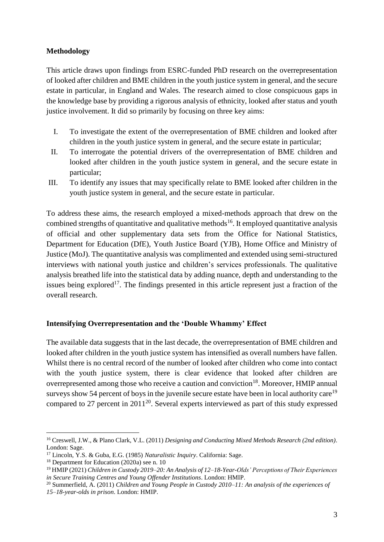# **Methodology**

This article draws upon findings from ESRC-funded PhD research on the overrepresentation of looked after children and BME children in the youth justice system in general, and the secure estate in particular, in England and Wales. The research aimed to close conspicuous gaps in the knowledge base by providing a rigorous analysis of ethnicity, looked after status and youth justice involvement. It did so primarily by focusing on three key aims:

- I. To investigate the extent of the overrepresentation of BME children and looked after children in the youth justice system in general, and the secure estate in particular;
- II. To interrogate the potential drivers of the overrepresentation of BME children and looked after children in the youth justice system in general, and the secure estate in particular;
- III. To identify any issues that may specifically relate to BME looked after children in the youth justice system in general, and the secure estate in particular.

To address these aims, the research employed a mixed-methods approach that drew on the combined strengths of quantitative and qualitative methods<sup>16</sup>. It employed quantitative analysis of official and other supplementary data sets from the Office for National Statistics, Department for Education (DfE), Youth Justice Board (YJB), Home Office and Ministry of Justice (MoJ). The quantitative analysis was complimented and extended using semi-structured interviews with national youth justice and children's services professionals. The qualitative analysis breathed life into the statistical data by adding nuance, depth and understanding to the issues being explored<sup>17</sup>. The findings presented in this article represent just a fraction of the overall research.

# **Intensifying Overrepresentation and the 'Double Whammy' Effect**

The available data suggests that in the last decade, the overrepresentation of BME children and looked after children in the youth justice system has intensified as overall numbers have fallen. Whilst there is no central record of the number of looked after children who come into contact with the youth justice system, there is clear evidence that looked after children are overrepresented among those who receive a caution and conviction<sup>18</sup>. Moreover, HMIP annual surveys show 54 percent of boys in the juvenile secure estate have been in local authority care<sup>19</sup> compared to 27 percent in  $2011^{20}$ . Several experts interviewed as part of this study expressed

<sup>16</sup> Creswell, J.W., & Plano Clark, V.L. (2011) *Designing and Conducting Mixed Methods Research (2nd edition)*. London: Sage.

<sup>17</sup> Lincoln, Y.S. & Guba, E.G. (1985) *Naturalistic Inquiry*. California: Sage.

<sup>&</sup>lt;sup>18</sup> Department for Education (2020a) see n. 10

<sup>19</sup> HMIP (2021) *Children in Custody 2019–20: An Analysis of 12–18-Year-Olds' Perceptions of Their Experiences in Secure Training Centres and Young Offender Institutions*. London: HMIP.

<sup>20</sup> Summerfield, A. (2011) *Children and Young People in Custody 2010–11: An analysis of the experiences of 15–18-year-olds in prison*. London: HMIP.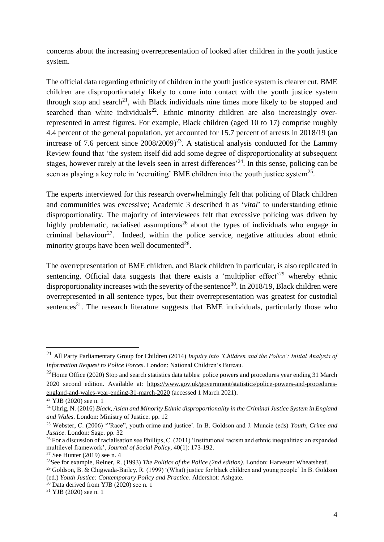concerns about the increasing overrepresentation of looked after children in the youth justice system.

The official data regarding ethnicity of children in the youth justice system is clearer cut. BME children are disproportionately likely to come into contact with the youth justice system through stop and search<sup>21</sup>, with Black individuals nine times more likely to be stopped and searched than white individuals<sup>22</sup>. Ethnic minority children are also increasingly overrepresented in arrest figures. For example, Black children (aged 10 to 17) comprise roughly 4.4 percent of the general population, yet accounted for 15.7 percent of arrests in 2018/19 (an increase of 7.6 percent since  $2008/2009)^{23}$ . A statistical analysis conducted for the Lammy Review found that 'the system itself did add some degree of disproportionality at subsequent stages, however rarely at the levels seen in arrest differences<sup>24</sup>. In this sense, policing can be seen as playing a key role in 'recruiting' BME children into the youth justice system<sup>25</sup>.

The experts interviewed for this research overwhelmingly felt that policing of Black children and communities was excessive; Academic 3 described it as '*vital*' to understanding ethnic disproportionality. The majority of interviewees felt that excessive policing was driven by highly problematic, racialised assumptions<sup>26</sup> about the types of individuals who engage in criminal behaviour<sup>27</sup>. Indeed, within the police service, negative attitudes about ethnic minority groups have been well documented $^{28}$ .

The overrepresentation of BME children, and Black children in particular, is also replicated in sentencing. Official data suggests that there exists a 'multiplier effect'<sup>29</sup> whereby ethnic disproportionality increases with the severity of the sentence<sup>30</sup>. In 2018/19, Black children were overrepresented in all sentence types, but their overrepresentation was greatest for custodial sentences<sup>31</sup>. The research literature suggests that BME individuals, particularly those who

<sup>21</sup> All Party Parliamentary Group for Children (2014) *Inquiry into 'Children and the Police': Initial Analysis of Information Request to Police Forces*. London: National Children's Bureau.

<sup>&</sup>lt;sup>22</sup>Home Office (2020) Stop and search statistics data tables: police powers and procedures year ending 31 March 2020 second edition. Available at: [https://www.gov.uk/government/statistics/police-powers-and-procedures](https://www.gov.uk/government/statistics/police-powers-and-procedures-england-and-wales-year-ending-31-march-2020)[england-and-wales-year-ending-31-march-2020](https://www.gov.uk/government/statistics/police-powers-and-procedures-england-and-wales-year-ending-31-march-2020) (accessed 1 March 2021).

<sup>23</sup> YJB (2020) see n. 1

<sup>24</sup> Uhrig, N. (2016) *Black, Asian and Minority Ethnic disproportionality in the Criminal Justice System in England and Wales*. London: Ministry of Justice. pp. 12

<sup>25</sup> Webster, C. (2006) '"Race", youth crime and justice'. In B. Goldson and J. Muncie (eds) *Youth, Crime and Justice*. London: Sage. pp. 32

 $26$  For a discussion of racialisation see Phillips, C. (2011) 'Institutional racism and ethnic inequalities: an expanded multilevel framework', *Journal of Social Policy*, 40(1): 173-192.

 $27$  See Hunter (2019) see n. 4

<sup>28</sup>See for example, Reiner, R. (1993) *The Politics of the Police (2nd edition)*. London: Harvester Wheatsheaf.

<sup>29</sup> Goldson, B. & Chigwada-Bailey, R. (1999) '(What) justice for black children and young people' In B. Goldson (ed.) *Youth Justice: Contemporary Policy and Practice*. Aldershot: Ashgate.

<sup>30</sup> Data derived from YJB (2020) see n. 1

<sup>31</sup> YJB (2020) see n. 1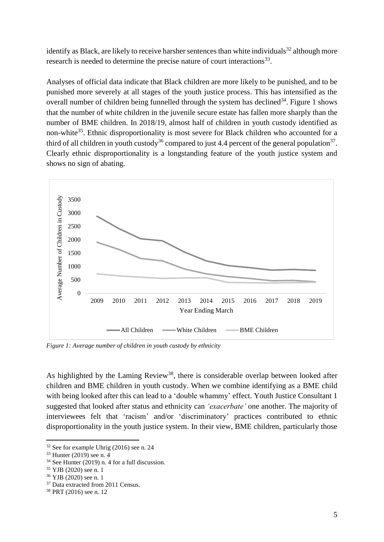identify as Black, are likely to receive harsher sentences than white individuals<sup>32</sup> although more research is needed to determine the precise nature of court interactions<sup>33</sup>.

Analyses of official data indicate that Black children are more likely to be punished, and to be punished more severely at all stages of the youth justice process. This has intensified as the overall number of children being funnelled through the system has declined<sup>34</sup>. Figure 1 shows that the number of white children in the juvenile secure estate has fallen more sharply than the number of BME children. In 2018/19, almost half of children in youth custody identified as non-white<sup>35</sup>. Ethnic disproportionality is most severe for Black children who accounted for a third of all children in youth custody<sup>36</sup> compared to just 4.4 percent of the general population<sup>37</sup>. Clearly ethnic disproportionality is a longstanding feature of the youth justice system and shows no sign of abating.



*Figure 1: Average number of children in youth custody by ethnicity* 

As highlighted by the Laming Review<sup>38</sup>, there is considerable overlap between looked after children and BME children in youth custody. When we combine identifying as a BME child with being looked after this can lead to a 'double whammy' effect. Youth Justice Consultant 1 suggested that looked after status and ethnicity can *'exacerbate'* one another. The majority of interviewees felt that 'racism' and/or 'discriminatory' practices contributed to ethnic disproportionality in the youth justice system. In their view, BME children, particularly those

 $32$  See for example Uhrig (2016) see n. 24

<sup>33</sup> Hunter (2019) see n. 4

<sup>34</sup> See Hunter (2019) n. 4 for a full discussion.

<sup>35</sup> YJB (2020) see n. 1

<sup>36</sup> YJB (2020) see n. 1

<sup>37</sup> Data extracted from 2011 Census.

<sup>38</sup> PRT (2016) see n. 12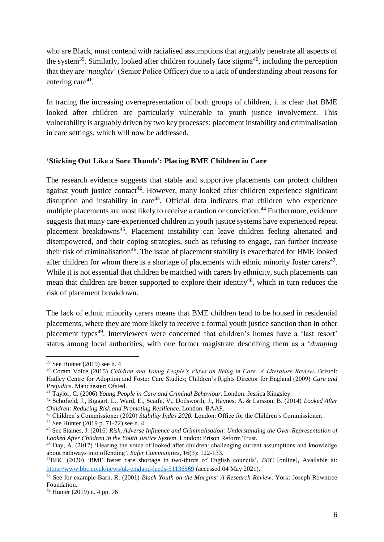who are Black, must contend with racialised assumptions that arguably penetrate all aspects of the system<sup>39</sup>. Similarly, looked after children routinely face stigma<sup>40</sup>, including the perception that they are '*naughty*' (Senior Police Officer) due to a lack of understanding about reasons for entering care $41$ .

In tracing the increasing overrepresentation of both groups of children, it is clear that BME looked after children are particularly vulnerable to youth justice involvement. This vulnerability is arguably driven by two key processes: placement instability and criminalisation in care settings, which will now be addressed.

#### **'Sticking Out Like a Sore Thumb': Placing BME Children in Care**

The research evidence suggests that stable and supportive placements can protect children against youth justice contact<sup>42</sup>. However, many looked after children experience significant disruption and instability in care<sup>43</sup>. Official data indicates that children who experience multiple placements are most likely to receive a caution or conviction.<sup>44</sup> Furthermore, evidence suggests that many care-experienced children in youth justice systems have experienced repeat placement breakdowns<sup>45</sup>. Placement instability can leave children feeling alienated and disempowered, and their coping strategies, such as refusing to engage, can further increase their risk of criminalisation<sup>46</sup>. The issue of placement stability is exacerbated for BME looked after children for whom there is a shortage of placements with ethnic minority foster carers $47$ . While it is not essential that children be matched with carers by ethnicity, such placements can mean that children are better supported to explore their identity<sup>48</sup>, which in turn reduces the risk of placement breakdown.

The lack of ethnic minority carers means that BME children tend to be housed in residential placements, where they are more likely to receive a formal youth justice sanction than in other placement types<sup>49</sup>. Interviewees were concerned that children's homes have a 'last resort' status among local authorities, with one former magistrate describing them as a '*dumping* 

<sup>39</sup> See Hunter (2019) see n. 4

<sup>40</sup> Coram Voice (2015) *Children and Young People's Views on Being in Care: A Literature Review*. Bristol: Hadley Centre for Adoption and Foster Care Studies; Children's Rights Director for England (2009) *Care and Prejudice*. Manchester: Ofsted.

<sup>41</sup> Taylor, C. (2006) *Young People in Care and Criminal Behaviour*. London: Jessica Kingsley.

<sup>42</sup> Schofield, J., Biggart, L., Ward, E., Scaife, V., Dodsworth, J., Haynes, A. & Larsson, B. (2014) *Looked After Children: Reducing Risk and Promoting Resilience*. London: BAAF.

<sup>43</sup> Children's Commissioner (2020) *Stability Index 2020.* London: Office for the Children's Commissioner.

<sup>44</sup> See Hunter (2019 p. 71-72) see n. 4

<sup>45</sup> See Staines, J. (2016) *Risk, Adverse Influence and Criminalisation: Understanding the Over-Representation of Looked After Children in the Youth Justice System*. London: Prison Reform Trust.

<sup>46</sup> Day, A. (2017) 'Hearing the voice of looked after children: challenging current assumptions and knowledge about pathways into offending', *Safer Communities*, 16(3): 122-133.

<sup>47</sup>BBC (2020) 'BME foster care shortage in two-thirds of English councils', *BBC* [online], Available at: <https://www.bbc.co.uk/news/uk-england-leeds-51136569> (accessed 04 May 2021).

<sup>48</sup> See for example Barn, R. (2001) *Black Youth on the Margins: A Research Review*. York: Joseph Rowntree Foundation.

<sup>49</sup> Hunter (2019) n. 4 pp. 76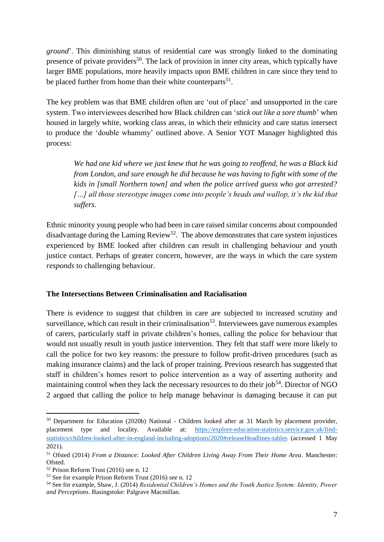*ground*'. This diminishing status of residential care was strongly linked to the dominating presence of private providers<sup>50</sup>. The lack of provision in inner city areas, which typically have larger BME populations, more heavily impacts upon BME children in care since they tend to be placed further from home than their white counterparts<sup>51</sup>.

The key problem was that BME children often are 'out of place' and unsupported in the care system. Two interviewees described how Black children can '*stick out like a sore thumb*' when housed in largely white, working class areas, in which their ethnicity and care status intersect to produce the 'double whammy' outlined above. A Senior YOT Manager highlighted this process:

*We had one kid where we just knew that he was going to reoffend, he was a Black kid from London, and sure enough he did because he was having to fight with some of the kids in [small Northern town] and when the police arrived guess who got arrested? […] all those stereotype images come into people's heads and wallop, it's the kid that suffers.*

Ethnic minority young people who had been in care raised similar concerns about compounded disadvantage during the Laming Review<sup>52</sup>. The above demonstrates that care system injustices experienced by BME looked after children can result in challenging behaviour and youth justice contact. Perhaps of greater concern, however, are the ways in which the care system *responds* to challenging behaviour.

#### **The Intersections Between Criminalisation and Racialisation**

There is evidence to suggest that children in care are subjected to increased scrutiny and surveillance, which can result in their criminalisation<sup>53</sup>. Interviewees gave numerous examples of carers, particularly staff in private children's homes, calling the police for behaviour that would not usually result in youth justice intervention. They felt that staff were more likely to call the police for two key reasons: the pressure to follow profit-driven procedures (such as making insurance claims) and the lack of proper training. Previous research has suggested that staff in children's homes resort to police intervention as a way of asserting authority and maintaining control when they lack the necessary resources to do their job<sup>54</sup>. Director of NGO 2 argued that calling the police to help manage behaviour is damaging because it can put

<sup>50</sup> Department for Education (2020b) National - Children looked after at 31 March by placement provider, placement type and locality. Available at: [https://explore-education-statistics.service.gov.uk/find](https://explore-education-statistics.service.gov.uk/find-statistics/children-looked-after-in-england-including-adoptions/2020#releaseHeadlines-tables)[statistics/children-looked-after-in-england-including-adoptions/2020#releaseHeadlines-tables](https://explore-education-statistics.service.gov.uk/find-statistics/children-looked-after-in-england-including-adoptions/2020#releaseHeadlines-tables) (accessed 1 May 2021).

<sup>51</sup> Ofsted (2014) *From a Distance: Looked After Children Living Away From Their Home Area*. Manchester: Ofsted.

<sup>52</sup> Prison Reform Trust (2016) see n. 12

<sup>53</sup> See for example Prison Reform Trust (2016) see n. 12

<sup>54</sup> See for example, Shaw, J. (2014) *Residential Children's Homes and the Youth Justice System: Identity, Power and Perceptions*. Basingstoke: Palgrave Macmillan.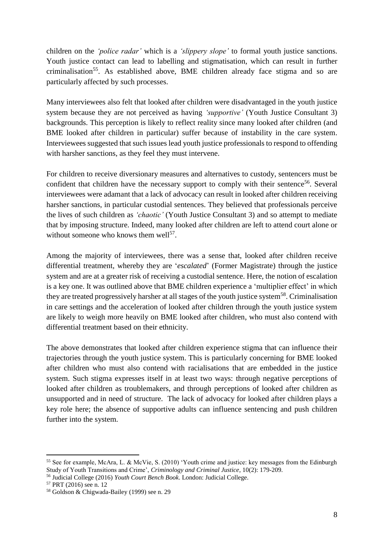children on the *'police radar'* which is a *'slippery slope'* to formal youth justice sanctions. Youth justice contact can lead to labelling and stigmatisation, which can result in further criminalisation<sup>55</sup>. As established above, BME children already face stigma and so are particularly affected by such processes.

Many interviewees also felt that looked after children were disadvantaged in the youth justice system because they are not perceived as having *'supportive'* (Youth Justice Consultant 3) backgrounds. This perception is likely to reflect reality since many looked after children (and BME looked after children in particular) suffer because of instability in the care system. Interviewees suggested that such issues lead youth justice professionals to respond to offending with harsher sanctions, as they feel they must intervene.

For children to receive diversionary measures and alternatives to custody, sentencers must be confident that children have the necessary support to comply with their sentence<sup>56</sup>. Several interviewees were adamant that a lack of advocacy can result in looked after children receiving harsher sanctions, in particular custodial sentences. They believed that professionals perceive the lives of such children as *'chaotic'* (Youth Justice Consultant 3) and so attempt to mediate that by imposing structure. Indeed, many looked after children are left to attend court alone or without someone who knows them well<sup>57</sup>.

Among the majority of interviewees, there was a sense that, looked after children receive differential treatment, whereby they are '*escalated*' (Former Magistrate) through the justice system and are at a greater risk of receiving a custodial sentence. Here, the notion of escalation is a key one. It was outlined above that BME children experience a 'multiplier effect' in which they are treated progressively harsher at all stages of the youth justice system<sup>58</sup>. Criminalisation in care settings and the acceleration of looked after children through the youth justice system are likely to weigh more heavily on BME looked after children, who must also contend with differential treatment based on their ethnicity.

The above demonstrates that looked after children experience stigma that can influence their trajectories through the youth justice system. This is particularly concerning for BME looked after children who must also contend with racialisations that are embedded in the justice system. Such stigma expresses itself in at least two ways: through negative perceptions of looked after children as troublemakers, and through perceptions of looked after children as unsupported and in need of structure. The lack of advocacy for looked after children plays a key role here; the absence of supportive adults can influence sentencing and push children further into the system.

<sup>55</sup> See for example, McAra, L. & McVie, S. (2010) 'Youth crime and justice: key messages from the Edinburgh Study of Youth Transitions and Crime', *Criminology and Criminal Justice*, 10(2): 179-209.

<sup>56</sup> Judicial College (2016) *Youth Court Bench Book*. London: Judicial College.

<sup>57</sup> PRT (2016) see n. 12

<sup>58</sup> Goldson & Chigwada-Bailey (1999) see n. 29